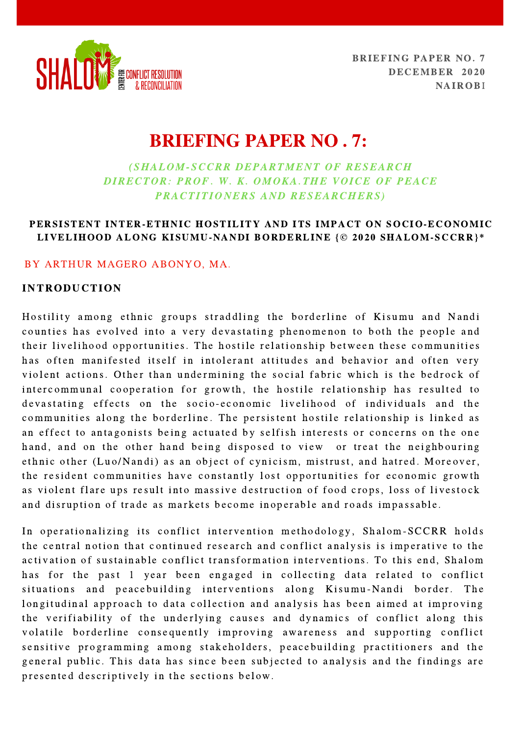

# BRIEFING PAPER NO . 7:

## (SHALOM-SCCRR DEPARTMENT OF RESEARCH DIRECTOR: PROF. W. K. OMOKA.THE VOICE OF PEACE PRACTITIONERS AND RESEARCHERS)

## PERSISTENT INTER-ETHNIC HOSTILITY AND ITS IMPACT ON SOCIO-ECONOMIC LIVELIHOOD ALONG KISUMU-NANDI BORDERLINE {© 2020 SHALOM-SCCRR}\*

## BY ARTHUR MAGERO ABONYO, MA.

#### INTRODUCTION

Hostility among ethnic groups straddling the borderline of Kisumu and Nandi counties has evolved into a very devastating phenomenon to both the people and their livelihood opportunities. The hostile relationship between these communities has often manifested itself in intolerant attitudes and behavior and often very violent actions. Other than undermining the social fabric which is the bedrock of intercommunal cooperation for growth, the hostile relationship has resulted to devastating effects on the socio-economic livelihood of individuals and the communities along the borderline. The persistent hostile relationship is linked as an effect to antagonists being actuated by selfish interests or concerns on the one hand, and on the other hand being disposed to view or treat the neighbouring ethnic other (Luo/Nandi) as an object of cynicism, mistrust, and hatred. Moreover, the resident communities have constantly lost opportunities for economic growth as violent flare ups result into massive destruction of food crops, loss of livestock and disruption of trade as markets become inoperable and roads impassable.

In operationalizing its conflict intervention methodology, Shalom-SCCRR holds the central notion that continued research and conflict analysis is imperative to the activation of sustainable conflict transformation interventions. To this end, Shalom has for the past 1 year been engaged in collecting data related to conflict situations and peacebuilding interventions along Kisumu-Nandi border. The longitudinal approach to data collection and analysis has been aimed at improving the verifiability of the underlying causes and dynamics of conflict along this volatile borderline consequently improving awareness and supporting conflict sensitive programming among stakeholders, peacebuilding practitioners and the general public. This data has since been subjected to analysis and the findings are presented descriptively in the sections below.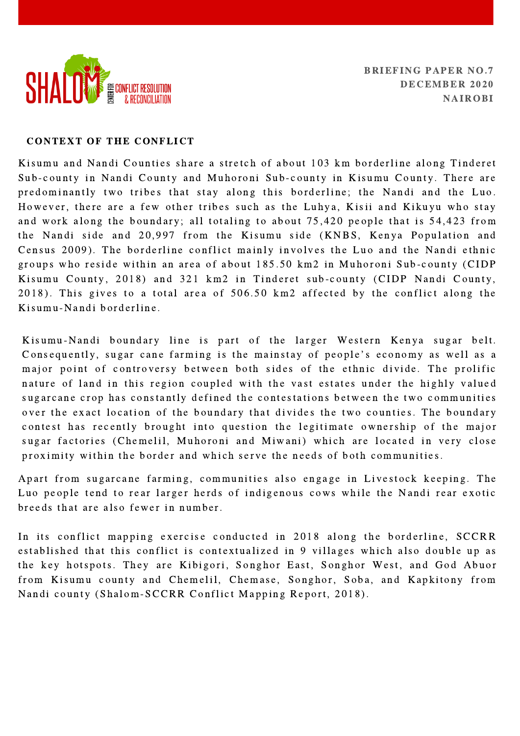

#### CONTEXT OF THE CONFLICT

Kisumu and Nandi Counties share a stretch of about 103 km borderline along Tinderet Sub-county in Nandi County and Muhoroni Sub-county in Kisumu County. There are predominantly two tribes that stay along this borderline; the Nandi and the Luo. However, there are a few other tribes such as the Luhya, Kisii and Kikuyu who stay and work along the boundary; all totaling to about 75,420 people that is 54,423 from the Nandi side and 20,997 from the Kisumu side (KNBS, Kenya Population and Census 2009). The borderline conflict mainly involves the Luo and the Nandi ethnic groups who reside within an area of about 185.50 km2 in Muhoroni Sub-county (CIDP Kisumu County, 2018) and 321 km2 in Tinderet sub-county (CIDP Nandi County,  $2018$ ). This gives to a total area of  $506.50$  km2 affected by the conflict along the Kisumu-Nandi borderline.

Kisumu-Nandi boundary line is part of the larger Western Kenya sugar belt.<br>Consequently, sugar cane farming is the mainstay of people's economy as well as a major point of controversy between both sides of the ethnic divide. The prolific nature of land in this region coupled with the vast estates under the highly valued sugarcane crop has constantly defined the contestations between the two communities over the exact location of the boundary that divides the two counties. The boundary contest has recently brought into question the legitimate ownership of the major sugar factories (Chemelil, Muhoroni and Miwani) which are located in very close proximity within the border and which serve the needs of both communities.

Apart from sugarcane farming, communities also engage in Livestock keeping. The Luo people tend to rear larger herds of indigenous cows while the Nandi rear exotic breeds that are also fewer in number.

In its conflict mapping exercise conducted in 2018 along the borderline, SCCRR established that this conflict is contextualized in 9 villages which also double up as the key hotspots. They are Kibigori, Songhor East, Songhor West, and God Abuor from Kisumu county and Chemelil, Chemase, Songhor, Soba, and Kapkitony from Nandi county (Shalom-SCCRR Conflict Mapping Report, 2018).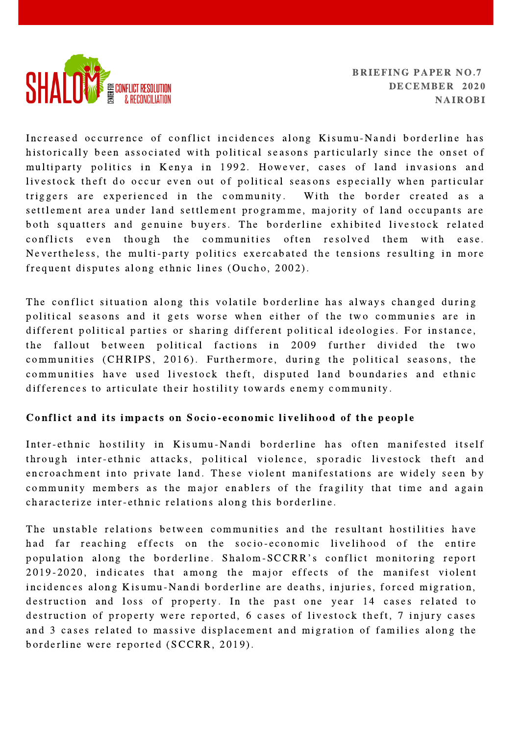

Increased occurrence of conflict incidences along Kisumu-Nandi borderline has historically been associated with political seasons particularly since the onset of multiparty politics in Kenya in 1992. However, cases of land invasions and livestock theft do occur even out of political seasons especially when particular triggers are experienced in the community. With the border created as a settlement area under land settlement programme, majority of land occupants are both squatters and genuine buyers. The borderline exhibited livestock related conflicts even though the communities often resolved them with ease. Nevertheless, the multi-party politics exercabated the tensions resulting in more frequent disputes along ethnic lines (Oucho, 2002).

The conflict situation along this volatile borderline has always changed during political seasons and it gets worse when either of the two communies are in different political parties or sharing different political ideologies. For instance, the fallout between political factions in 2009 further divided the two communities (CHRIPS, 2016). Furthermore, during the political seasons, the communities have used livestock theft, disputed land boundaries and ethnic differences to articulate their hostility towards enemy community.

## Conflict and its impacts on Socio-economic livelihood of the people

Inter-ethnic hostility in Kisumu-Nandi borderline has often manifested itself through inter-ethnic attacks, political violence, sporadic livestock theft and encroachment into private land. These violent manifestations are widely seen by community members as the major enablers of the fragility that time and again characterize inter-ethnic relations along this borderline.

The unstable relations between communities and the resultant hostilities have had far reaching effects on the socio-economic livelihood of the entire<br>population along the borderline. Shalom-SCCRR's conflict monitoring report 2019-2020, indicates that among the major effects of the manifest violent incidences along Kisumu-Nandi borderline are deaths, injuries, forced migration, destruction and loss of property. In the past one year 14 cases related to destruction of property were reported, 6 cases of livestock theft, 7 injury cases and 3 cases related to massive displacement and migration of families along the borderline were reported (SCCRR, 2019).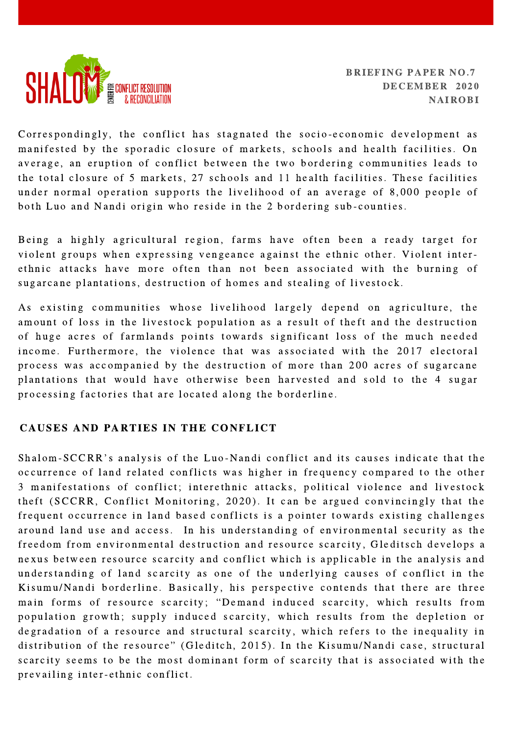

Correspondingly, the conflict has stagnated the socio-economic development as manifested by the sporadic closure of markets, schools and health facilities. On average, an eruption of conflict between the two bordering communities leads to the total closure of 5 markets, 27 schools and 11 health facilities. These facilities under normal operation supports the livelihood of an average of 8,000 people of both Luo and Nandi origin who reside in the 2 bordering sub-counties.

Being a highly agricultural region, farms have often been a ready target for violent groups when expressing vengeance against the ethnic other. Violent interethnic attacks have more often than not been associated with the burning of sugarcane plantations, destruction of homes and stealing of livestock.

As existing communities whose livelihood largely depend on agriculture, the amount of loss in the livestock population as a result of theft and the destruction of huge acres of farmlands points towards significant loss of the much needed income. Furthermore, the violence that was associated with the 2017 electoral process was accompanied by the destruction of more than 200 acres of sugarcane plantations that would have otherwise been harvested and sold to the 4 sugar processing factories that are located along the borderline.

## CAUSES AND PARTIES IN THE CONFLICT

Shalom-SCCRR's analysis of the Luo-Nandi conflict and its causes indicate that the occurrence of land related conflicts was higher in frequency compared to the other 3 manifestations of conflict; interethnic attacks, political violence and livestock theft (SCCRR, Conflict Monitoring, 2020). It can be argued convincingly that the frequent occurrence in land based conflicts is a pointer towards existing challenges around land use and access. In his understanding of environmental security as the freedom from environmental destruction and resource scarcity, Gleditsch develops a nexus between resource scarcity and conflict which is applicable in the analysis and understanding of land scarcity as one of the underlying causes of conflict in the Kisumu/Nandi borderline. Basically, his perspective contends that there are three<br>main forms of resource scarcity: "Demand induced scarcity, which results from population growth; supply induced scarcity, which results from the depletion or degradation of a resource and structural scarcity, which refers to the inequality in distribution of the resource" (Gleditch, 2015). In the Kisumu/Nandi case, structural scarcity seems to be the most dominant form of scarcity that is associated with the prevailing inter-ethnic conflict.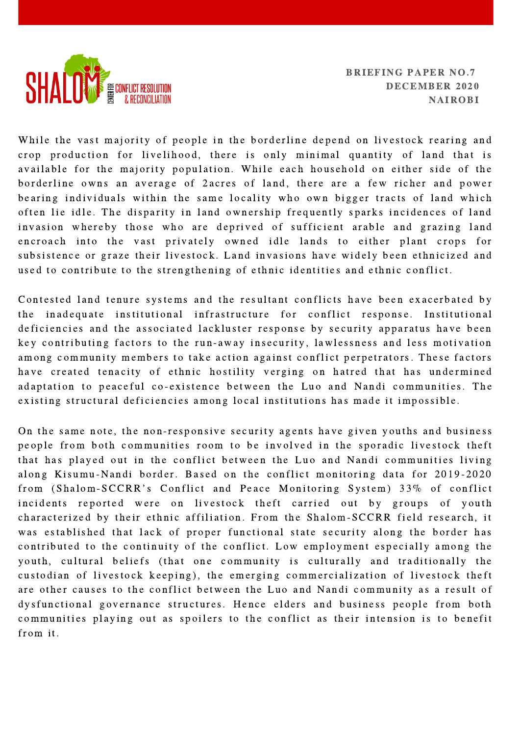

While the vast majority of people in the borderline depend on livestock rearing and crop production for livelihood, there is only minimal quantity of land that is available for the majority population. While each household on either side of the borderline owns an average of 2 acres of land, there are a few richer and power be aring individuals within the same locality who own bigger tracts of land which often lie idle. The disparity in land ownership frequently sparks incidences of land invasion whereby those who are deprived of sufficient arable and grazing land encroach into the vast privately owned idle lands to either plant crops for subsistence or graze their livestock. Land invasions have widely been ethnicized and used to contribute to the strengthening of ethnic identities and ethnic conflict.

Contested land tenure systems and the resultant conflicts have been exacerbated by the inadequate institutional infrastructure for conflict response. Institutional deficiencies and the associated lackluster response by security apparatus have been key contributing factors to the run-away insecurity, lawlessness and less motivation among community members to take action against conflict perpetrators. These factors have created tenacity of ethnic hostility verging on hatred that has undermined adaptation to peaceful co-existence between the Luo and Nandi communities. The existing structural deficiencies among local institutions has made it impossible.

On the same note, the non-responsive security agents have given youths and business people from both communities room to be involved in the sporadic livestock theft that has played out in the conflict between the Luo and Nandi communities living along Kisumu-Nandi border. Based on the conflict monitoring data for 2019-2020<br>from (Shalom-SCCRR's Conflict and Peace Monitoring System) 33% of conflict incidents reported were on livestock theft carried out by groups of youth characterized by their ethnic affiliation. From the Shalom-SCCRR field research, it was established that lack of proper functional state security along the border has contributed to the continuity of the conflict. Low employment especially among the youth, cultural beliefs (that one community is culturally and traditionally the custodian of livestock keeping), the emerging commercialization of livestock theft are other causes to the conflict between the Luo and Nandi community as a result of dysfunctional governance structures. Hence elders and business people from both communities playing out as spoilers to the conflict as their intension is to benefit from it.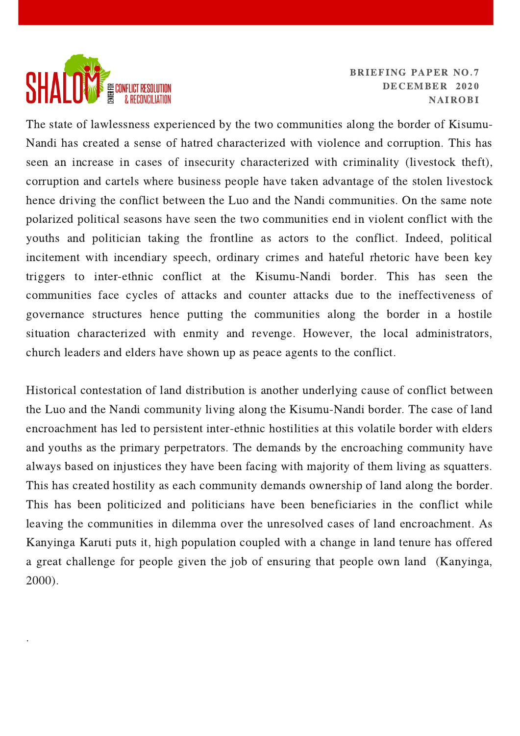

.

BRIEFING PAPER NO.7 DECEMBER 2020 NAIROBI

The state of lawlessness experienced by the two communities along the border of Kisumu-Nandi has created a sense of hatred characterized with violence and corruption. This has seen an increase in cases of insecurity characterized with criminality (livestock theft), corruption and cartels where business people have taken advantage of the stolen livestock hence driving the conflict between the Luo and the Nandi communities. On the same note polarized political seasons have seen the two communities end in violent conflict with the youths and politician taking the frontline as actors to the conflict. Indeed, political incitement with incendiary speech, ordinary crimes and hateful rhetoric have been key triggers to inter-ethnic conflict at the Kisumu-Nandi border. This has seen the communities face cycles of attacks and counter attacks due to the ineffectiveness of governance structures hence putting the communities along the border in a hostile situation characterized with enmity and revenge. However, the local administrators, church leaders and elders have shown up as peace agents to the conflict.

Historical contestation of land distribution is another underlying cause of conflict between the Luo and the Nandi community living along the Kisumu-Nandi border. The case of land encroachment has led to persistent inter-ethnic hostilities at this volatile border with elders and youths as the primary perpetrators. The demands by the encroaching community have always based on injustices they have been facing with majority of them living as squatters. This has created hostility as each community demands ownership of land along the border. This has been politicized and politicians have been beneficiaries in the conflict while leaving the communities in dilemma over the unresolved cases of land encroachment. As Kanyinga Karuti puts it, high population coupled with a change in land tenure has offered a great challenge for people given the job of ensuring that people own land (Kanyinga, 2000).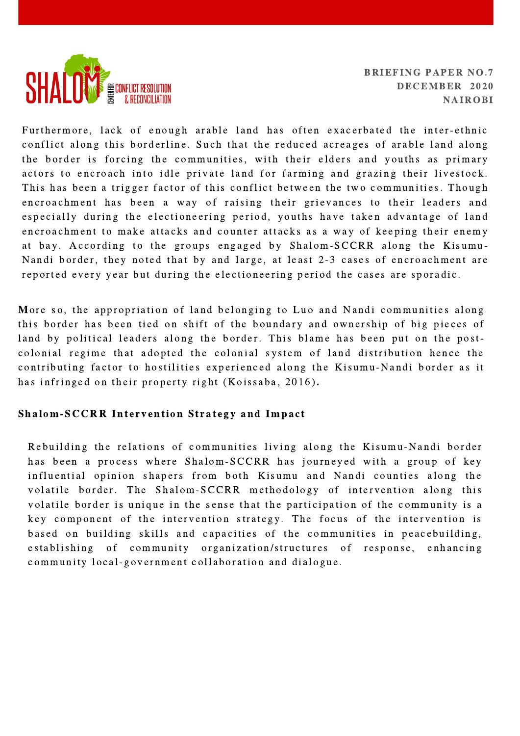

Furthermore, lack of enough arable land has often exacerbated the inter-ethnic conflict along this borderline. Such that the reduced acreages of arable land along the border is forcing the communities, with their elders and youths as primary actors to encroach into idle private land for farming and grazing their livestock. This has been a trigger factor of this conflict between the two communities. Though encroachment has been a way of raising their grievances to their leaders and especially during the electioneering period, youths have taken advantage of land encroachment to make attacks and counter attacks as a way of keeping their enemy at bay. According to the groups engaged by Shalom-SCCRR along the Kisumu-Nandi border, they noted that by and large, at least 2-3 cases of encroachment are reported every year but during the electioneering period the cases are sporadic.

More so, the appropriation of land belonging to Luo and Nandi communities along this border has been tied on shift of the boundary and ownership of big pieces of land by political leaders along the border. This blame has been put on the postcolonial regime that adopted the colonial system of land distribution hence the contributing factor to hostilities experienced along the Kisumu-Nandi border as it has infringed on their property right (Koissaba, 2016).

## Shalom-SCCRR Intervention Strategy and Impact

Rebuilding the relations of communities living along the Kisumu-Nandi border has been a process where Shalom-SCCRR has journeyed with a group of key in fluential opinion shapers from both Kisumu and Nandi counties along the volatile border. The Shalom-SCCRR methodology of intervention along this volatile border is unique in the sense that the participation of the community is a key component of the intervention strategy. The focus of the intervention is based on building skills and capacities of the communities in peacebuilding, establishing of community organization/structures of response, enhancing community local-government collaboration and dialogue.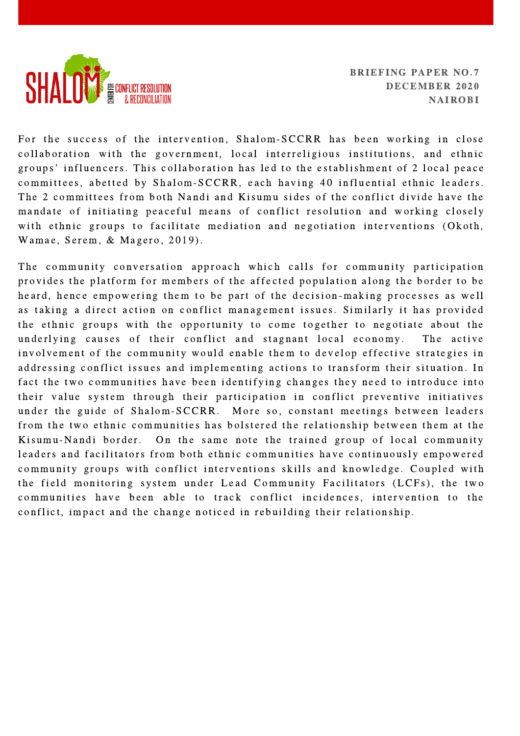

For the success of the intervention, Shalom-SCCRR has been working in close collaboration with the government, local interreligious institutions, and ethnic<br>groups' influencers. This collaboration has led to the establishment of 2 local peace committees, abetted by Shalom-SCCRR, each having 40 influential ethnic leaders. The 2 committees from both Nandi and Kisumu sides of the conflict divide have the mandate of initiating peaceful means of conflict resolution and working closely with ethnic groups to facilitate mediation and negotiation interventions (Okoth, Wamae, Serem, & Magero, 2019).

The community conversation approach which calls for community participation provides the platform for members of the affected population along the border to be heard, hence empowering them to be part of the decision-making processes as well as taking a direct action on conflict management issues. Similarly it has provided the ethnic groups with the opportunity to come together to negotiate about the underlying causes of their conflict and stagnant local economy. The active involvement of the community would enable them to develop effective strategies in addressing conflict issues and implementing actions to transform their situation. In fact the two communities have been identifying changes they need to introduce into their value system through their participation in conflict preventive initiatives under the guide of Shalom-SCCRR. More so, constant meetings between leaders from the two ethnic communities has bolstered the relationship between them at the Kisumu-Nandi border. On the same note the trained group of local community leaders and facilitators from both ethnic communities have continuously empowered community groups with conflict interventions skills and knowledge. Coupled with the field monitoring system under Lead Community Facilitators (LCFs), the two communities have been able to track conflict incidences, intervention to the conflict, impact and the change noticed in rebuilding their relationship.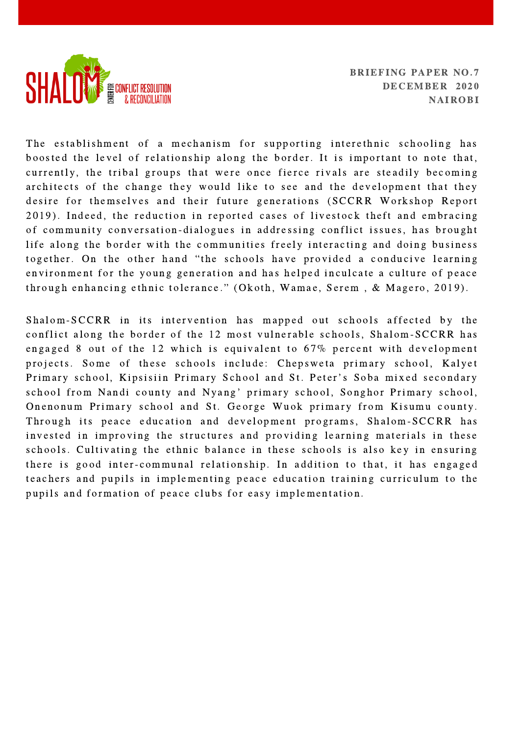

The establishment of a mechanism for supporting interethnic schooling has boosted the level of relationship along the border. It is important to note that, currently, the tribal groups that were once fierce rivals are steadily becoming ar chitects of the change they would like to see and the development that they desire for themselves and their future generations (SCCRR Workshop Report 2019). Indeed, the reduction in reported cases of livestock theft and embracing of community conversation-dialogues in addressing conflict issues, has brought life along the border with the communities freely interacting and doing business<br>together. On the other hand "the schools have provided a conducive learning environment for the young generation and has helped inculcate a culture of peace<br>through enhancing ethnic tolerance." (Okoth, Wamae, Serem, & Magero, 2019).

Shalom-SCCRR in its intervention has mapped out schools affected by the conflict along the border of the 12 most vulnerable schools, Shalom-SCCRR has engaged 8 out of the 12 which is equivalent to  $67\%$  percent with development projects. Some of these schools include: Chepsweta primary school, Kalyet<br>Primary school, Kipsisiin Primary School and St. Peter's Soba mixed secondary Primary school, Kipsisiin Primary School and St. Peter's Soba mixed secondary<br>school from Nandi county and Nyang' primary school, Songhor Primary school, Onenonum Primary school and St. George Wuok primary from Kisumu county. Through its peace education and development programs, Shalom-SCCRR has invested in improving the structures and providing learning materials in these schools. Cultivating the ethnic balance in these schools is also key in ensuring there is good inter-communal relationship. In addition to that, it has engaged teachers and pupils in implementing peace education training curriculum to the pupils and formation of peace clubs for easy implementation.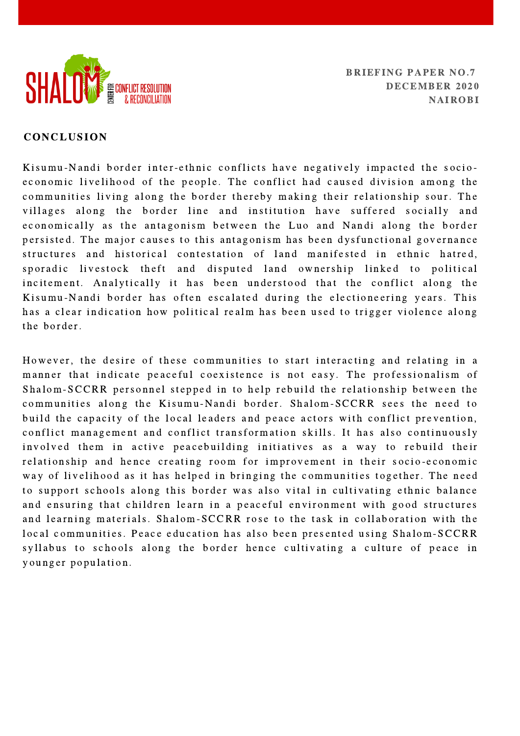

#### CONCLUSION

Kisumu-Nandi border inter-ethnic conflicts have negatively impacted the socioeconomic livelihood of the people. The conflict had caused division among the communities living along the border thereby making their relationship sour. The villages along the border line and institution have suffered socially and e conomically as the antagonism between the Luo and Nandi along the border persisted. The major causes to this antagonism has been dysfunctional governance structures and historical contestation of land manifested in ethnic hatred, sporadic livestock theft and disputed land ownership linked to political incitement. Analytically it has been understood that the conflict along the Kisumu-Nandi border has often escalated during the electioneering years. This has a clear indication how political realm has been used to trigger violence along the border.

However, the desire of these communities to start interacting and relating in a manner that indicate peaceful coexistence is not easy. The professionalism of Shalom-SCCRR personnel stepped in to help rebuild the relationship between the communities along the Kisumu-Nandi border. Shalom-SCCRR sees the need to build the capacity of the local leaders and peace actors with conflict prevention, conflict management and conflict transformation skills. It has also continuously involved them in active peacebuilding initiatives as a way to rebuild their relationship and hence creating room for improvement in their socio-economic way of livelihood as it has helped in bringing the communities together. The need to support schools along this border was also vital in cultivating ethnic balance and ensuring that children learn in a peaceful environment with good structures and learning materials. Shalom-SCCRR rose to the task in collaboration with the local communities. Peace education has also been presented using Shalom-SCCRR syllabus to schools along the border hence cultivating a culture of peace in younger population.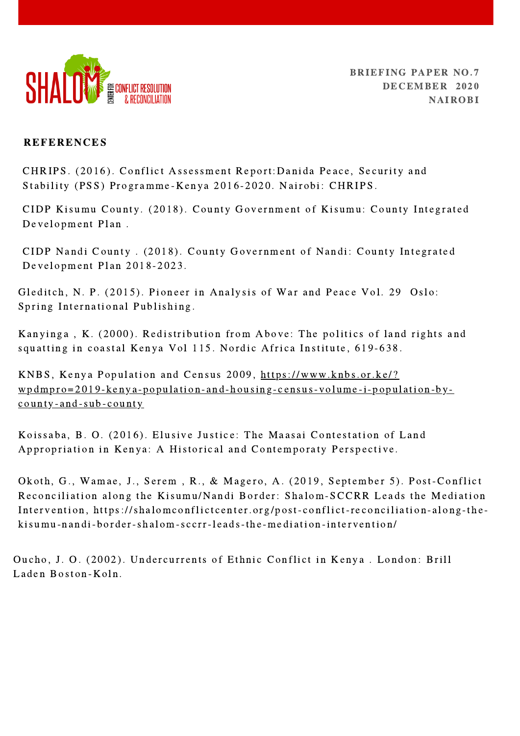

## **REFERENCES**

CHRIPS. (2016). Conflict Assessment Report:Danida Peace, Security and Stability (PSS) Programme-Kenya 2016-2020. Nairobi: CHRIPS.

CIDP Kisumu County. (2018). County Government of Kisumu: County Integrated Development Plan.

CIDP Nandi County . (2018). County Government of Nandi: County Integrated Development Plan 2018-2023.

Gleditch, N. P. (2015). Pioneer in Analysis of War and Peace Vol. 29 Oslo: Spring International Publishing.

Kanyinga, K. (2000). Redistribution from Above: The politics of land rights and squatting in coastal Kenya Vol 115. Nordic Africa Institute, 619-638.

KNBS, Kenya Population and Census 2009, http[s://www.](https://www.knbs.or.ke/?wpdmpro=2019-kenya-population-and-housing-census-volume-i-population-by-county-and-sub-county)knbs.or.ke/?  $w$   $p$  dmp  $r$   $o$  = 2019 -  $k$  en  $y$   $a$  - p o pulation - and - housing - c ensus - v olume -  $i$  - p o pulation - b  $y$  county-and-sub-county

Koissaba, B. O. (2016). Elusive Justice: The Maasai Contestation of Land Appropriation in Kenya: A Historical and Contemporaty Perspective.

Okoth, G., Wamae, J., Serem, R., & Magero, A. (2019, September 5). Post-Conflict Reconciliation along the Kisumu/Nandi Border: Shalom-SCCRR Leads the Mediation Intervention, https://shalomconflictcenter.org/post-conflict-reconciliation-along-thek is umu-n and i-border-shalom-sccrr-leads-the-mediation-intervention/

Oucho, J. O. (2002). Undercurrents of Ethnic Conflict in Kenya. London: Brill Laden Boston-Koln.